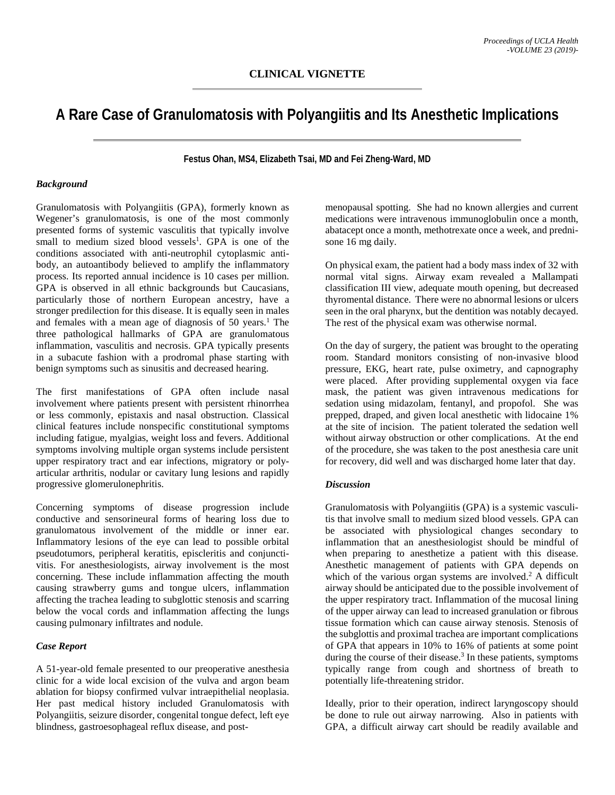# **A Rare Case of Granulomatosis with Polyangiitis and Its Anesthetic Implications**

**Festus Ohan, MS4, Elizabeth Tsai, MD and Fei Zheng-Ward, MD**

### *Background*

Granulomatosis with Polyangiitis (GPA), formerly known as Wegener's granulomatosis, is one of the most commonly presented forms of systemic vasculitis that typically involve small to medium sized blood vessels<sup>1</sup>. GPA is one of the conditions associated with anti-neutrophil cytoplasmic antibody, an autoantibody believed to amplify the inflammatory process. Its reported annual incidence is 10 cases per million. GPA is observed in all ethnic backgrounds but Caucasians, particularly those of northern European ancestry, have a stronger predilection for this disease. It is equally seen in males and females with a mean age of diagnosis of 50 years. <sup>1</sup> The three pathological hallmarks of GPA are granulomatous inflammation, vasculitis and necrosis. GPA typically presents in a subacute fashion with a prodromal phase starting with benign symptoms such as sinusitis and decreased hearing.

The first manifestations of GPA often include nasal involvement where patients present with persistent rhinorrhea or less commonly, epistaxis and nasal obstruction. Classical clinical features include nonspecific constitutional symptoms including fatigue, myalgias, weight loss and fevers. Additional symptoms involving multiple organ systems include persistent upper respiratory tract and ear infections, migratory or polyarticular arthritis, nodular or cavitary lung lesions and rapidly progressive glomerulonephritis.

Concerning symptoms of disease progression include conductive and sensorineural forms of hearing loss due to granulomatous involvement of the middle or inner ear. Inflammatory lesions of the eye can lead to possible orbital pseudotumors, peripheral keratitis, episcleritis and conjunctivitis. For anesthesiologists, airway involvement is the most concerning. These include inflammation affecting the mouth causing strawberry gums and tongue ulcers, inflammation affecting the trachea leading to subglottic stenosis and scarring below the vocal cords and inflammation affecting the lungs causing pulmonary infiltrates and nodule.

## *Case Report*

A 51-year-old female presented to our preoperative anesthesia clinic for a wide local excision of the vulva and argon beam ablation for biopsy confirmed vulvar intraepithelial neoplasia. Her past medical history included Granulomatosis with Polyangiitis, seizure disorder, congenital tongue defect, left eye blindness, gastroesophageal reflux disease, and postmenopausal spotting. She had no known allergies and current medications were intravenous immunoglobulin once a month, abatacept once a month, methotrexate once a week, and prednisone 16 mg daily.

On physical exam, the patient had a body mass index of 32 with normal vital signs. Airway exam revealed a Mallampati classification III view, adequate mouth opening, but decreased thyromental distance. There were no abnormal lesions or ulcers seen in the oral pharynx, but the dentition was notably decayed. The rest of the physical exam was otherwise normal.

On the day of surgery, the patient was brought to the operating room. Standard monitors consisting of non-invasive blood pressure, EKG, heart rate, pulse oximetry, and capnography were placed. After providing supplemental oxygen via face mask, the patient was given intravenous medications for sedation using midazolam, fentanyl, and propofol. She was prepped, draped, and given local anesthetic with lidocaine 1% at the site of incision. The patient tolerated the sedation well without airway obstruction or other complications. At the end of the procedure, she was taken to the post anesthesia care unit for recovery, did well and was discharged home later that day.

#### *Discussion*

Granulomatosis with Polyangiitis (GPA) is a systemic vasculitis that involve small to medium sized blood vessels. GPA can be associated with physiological changes secondary to inflammation that an anesthesiologist should be mindful of when preparing to anesthetize a patient with this disease. Anesthetic management of patients with GPA depends on which of the various organ systems are involved.<sup>2</sup> A difficult airway should be anticipated due to the possible involvement of the upper respiratory tract. Inflammation of the mucosal lining of the upper airway can lead to increased granulation or fibrous tissue formation which can cause airway stenosis. Stenosis of the subglottis and proximal trachea are important complications of GPA that appears in 10% to 16% of patients at some point during the course of their disease. <sup>3</sup> In these patients, symptoms typically range from cough and shortness of breath to potentially life-threatening stridor.

Ideally, prior to their operation, indirect laryngoscopy should be done to rule out airway narrowing. Also in patients with GPA, a difficult airway cart should be readily available and